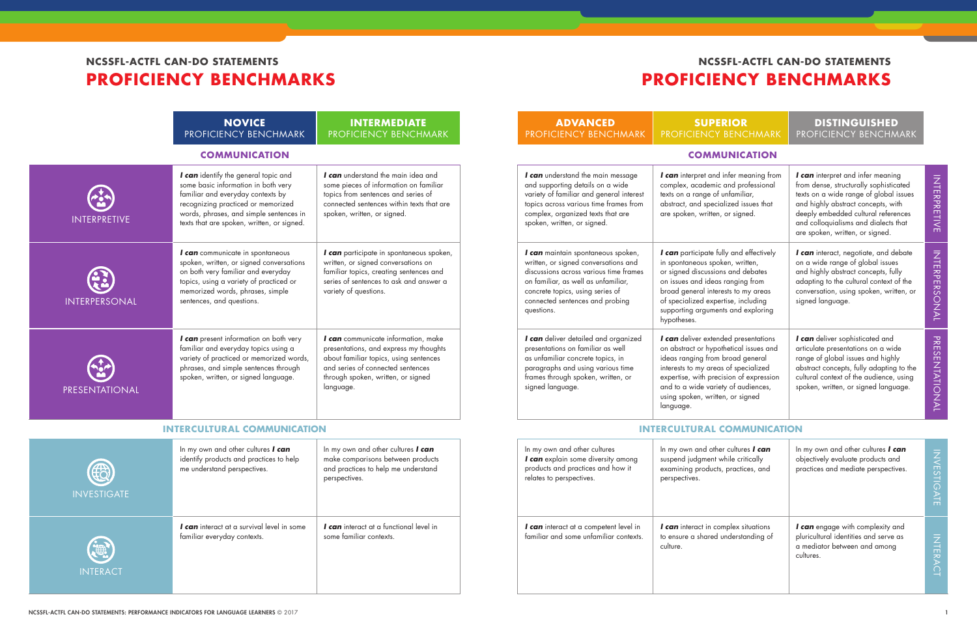### **SUPERIOR** NCY BENCHMARK

### **DISTINGUISHED** PROFICIENCY BENCHMARK

#### **COMMUNICATION COMMUNICATION**

|                            | <b>NOVICE</b><br>PROFICIENCY BENCHMARK                                                                                                                                                                                                          | <b>INTERMEDIATE</b><br>PROFICIENCY BENCHMARK                                                                                                                                                                    | <b>ADVANCED</b><br>PROFICIENCY BENCHMARK                                                                                                                                                                                                         | <b>SUPE</b><br><b>PROFICIENCY</b>                                                                                                                                             |
|----------------------------|-------------------------------------------------------------------------------------------------------------------------------------------------------------------------------------------------------------------------------------------------|-----------------------------------------------------------------------------------------------------------------------------------------------------------------------------------------------------------------|--------------------------------------------------------------------------------------------------------------------------------------------------------------------------------------------------------------------------------------------------|-------------------------------------------------------------------------------------------------------------------------------------------------------------------------------|
|                            | <b>COMMUNICATION</b>                                                                                                                                                                                                                            |                                                                                                                                                                                                                 |                                                                                                                                                                                                                                                  | <b>COMM</b>                                                                                                                                                                   |
| <b>INTERPRETIVE</b>        | I can identify the general topic and<br>some basic information in both very<br>familiar and everyday contexts by<br>recognizing practiced or memorized<br>words, phrases, and simple sentences in<br>texts that are spoken, written, or signed. | I can understand the main idea and<br>some pieces of information on familiar<br>topics from sentences and series of<br>connected sentences within texts that are<br>spoken, written, or signed.                 | I can understand the main message<br>and supporting details on a wide<br>variety of familiar and general interest<br>topics across various time frames from<br>complex, organized texts that are<br>spoken, written, or signed.                  | I can interpret and<br>complex, academic<br>texts on a range of<br>abstract, and specio<br>are spoken, written,                                                               |
| INTERPERSONAL              | I can communicate in spontaneous<br>spoken, written, or signed conversations<br>on both very familiar and everyday<br>topics, using a variety of practiced or<br>memorized words, phrases, simple<br>sentences, and questions.                  | I can participate in spontaneous spoken,<br>written, or signed conversations on<br>familiar topics, creating sentences and<br>series of sentences to ask and answer a<br>variety of questions.                  | I can maintain spontaneous spoken,<br>written, or signed conversations and<br>discussions across various time frames<br>on familiar, as well as unfamiliar,<br>concrete topics, using series of<br>connected sentences and probing<br>questions. | I can participate fu<br>in spontaneous spo<br>or signed discussion<br>on issues and ideas<br>broad general inter<br>of specialized expe<br>supporting argumer<br>hypotheses.  |
| PRESENTATIONAL             | I can present information on both very<br>familiar and everyday topics using a<br>variety of practiced or memorized words,<br>phrases, and simple sentences through<br>spoken, written, or signed language.                                     | I can communicate information, make<br>presentations, and express my thoughts<br>about familiar topics, using sentences<br>and series of connected sentences<br>through spoken, written, or signed<br>language. | I can deliver detailed and organized<br>presentations on familiar as well<br>as unfamiliar concrete topics, in<br>paragraphs and using various time<br>frames through spoken, written, or<br>signed language.                                    | I can deliver extend<br>on abstract or hypo<br>ideas ranging from<br>interests to my area<br>expertise, with prec<br>and to a wide varie<br>using spoken, writte<br>language. |
|                            | <b>INTERCULTURAL COMMUNICATION</b>                                                                                                                                                                                                              |                                                                                                                                                                                                                 |                                                                                                                                                                                                                                                  | <b>INTERCULTURAL</b>                                                                                                                                                          |
| (#2)<br><b>INVESTIGATE</b> | In my own and other cultures I can<br>identify products and practices to help<br>me understand perspectives.                                                                                                                                    | In my own and other cultures I can<br>make comparisons between products<br>and practices to help me understand<br>perspectives.                                                                                 | In my own and other cultures<br>I can explain some diversity among<br>products and practices and how it<br>relates to perspectives.                                                                                                              | In my own and othe<br>suspend judgment v<br>examining products<br>perspectives.                                                                                               |
| <b>INTERACT</b>            | I can interact at a survival level in some<br>familiar everyday contexts.                                                                                                                                                                       | I can interact at a functional level in<br>some familiar contexts.                                                                                                                                              | I can interact at a competent level in<br>familiar and some unfamiliar contexts.                                                                                                                                                                 | I can interact in co<br>to ensure a shared<br>culture.                                                                                                                        |

| I infer meaning from<br>c and professional<br>unfamiliar,<br>alized issues that<br>, or signed.                                               | <b>I can</b> interpret and infer meaning<br>from dense, structurally sophisticated<br>texts on a wide range of global issues<br>and highly abstract concepts, with<br>deeply embedded cultural references<br>and colloquialisms and dialects that<br>are spoken, written, or signed. | NHRPAFIND          |
|-----------------------------------------------------------------------------------------------------------------------------------------------|--------------------------------------------------------------------------------------------------------------------------------------------------------------------------------------------------------------------------------------------------------------------------------------|--------------------|
| ully and effectively<br>ken, written,<br>ns and debates<br>s ranging from<br>rests to my areas<br>ertise, including<br>nts and exploring      | <b>I can</b> interact, negotiate, and debate<br>on a wide range of global issues<br>and highly abstract concepts, fully<br>adapting to the cultural context of the<br>conversation, using spoken, written, or<br>signed language.                                                    | <b>NHRPERSONAL</b> |
| ded presentations<br>othetical issues and<br>broad general<br>as of specialized<br>cision of expression<br>ety of audiences,<br>en, or signed | I can deliver sophisticated and<br>articulate presentations on a wide<br>range of global issues and highly<br>abstract concepts, fully adapting to the<br>cultural context of the audience, using<br>spoken, written, or signed language.                                            | PRESENTATIONAL     |

#### **IRAL COMMUNICATION**

| ner cultures <b>I can</b><br>while critically<br>ts, practices, and | In my own and other cultures I can<br>objectively evaluate products and<br>practices and mediate perspectives.         | <b>NVESTIGATE</b> |
|---------------------------------------------------------------------|------------------------------------------------------------------------------------------------------------------------|-------------------|
| omplex situations<br>I understanding of                             | I can engage with complexity and<br>pluricultural identities and serve as<br>a mediator between and among<br>cultures. | <b>NTERAC</b>     |

# **NCSSFL-ACTFL CAN-DO STATEMENTS PROFICIENCY BENCHMARKS**

# **NCSSFL-ACTFL CAN-DO STATEMENTS PROFICIENCY BENCHMARKS**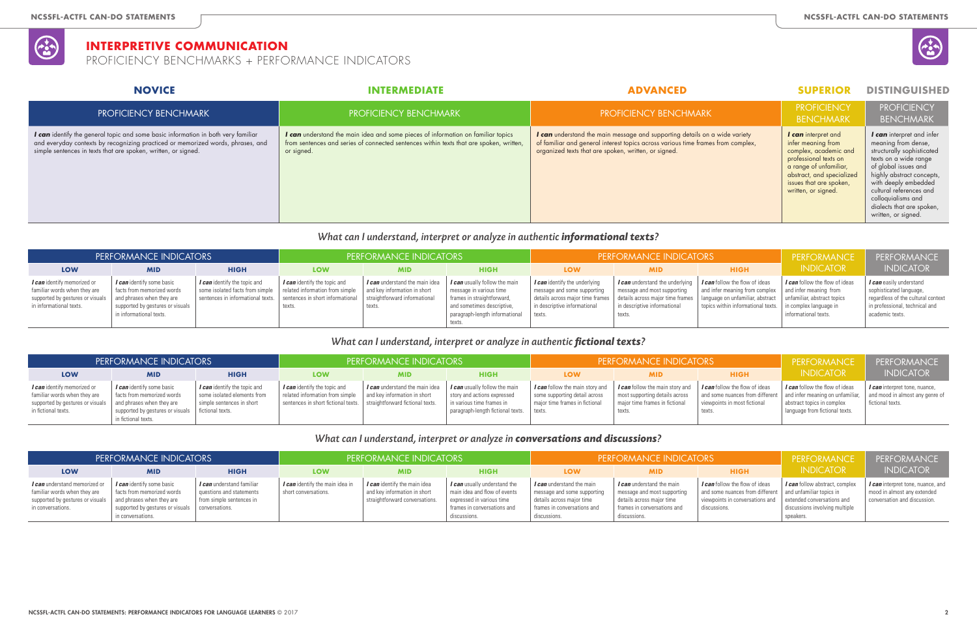|                               | <b>SUPERIOR</b>                                                                                                                                                                                      | <b>DISTINGUISHED</b>                                                                                                                                                                                                                                                                      |
|-------------------------------|------------------------------------------------------------------------------------------------------------------------------------------------------------------------------------------------------|-------------------------------------------------------------------------------------------------------------------------------------------------------------------------------------------------------------------------------------------------------------------------------------------|
|                               | <b>PROFICIENCY</b><br><b>BENCHMARK</b>                                                                                                                                                               | <b>PROFICIENCY</b><br><b>BENCHMARK</b>                                                                                                                                                                                                                                                    |
| wide variety<br>from complex, | I can interpret and<br>infer meaning from<br>complex, academic and<br>professional texts on<br>a range of unfamiliar,<br>abstract, and specialized<br>issues that are spoken,<br>written, or signed. | I can interpret and infer<br>meaning from dense,<br>structurally sophisticated<br>texts on a wide range<br>of global issues and<br>highly abstract concepts,<br>with deeply embedded<br>cultural references and<br>colloquialisms and<br>dialects that are spoken,<br>written, or signed. |
|                               |                                                                                                                                                                                                      |                                                                                                                                                                                                                                                                                           |

#### *What can I understand, interpret or analyze in authentic informational texts?*

| PERFORMANCE INDICATORS                                                                                                            |                                                                                                                                                     |                              | PERFORMANCE INDICATORS                                                                                                                                                                                                                                    |                                          |                                                                                                                                                                         | <b>PERFORMANCE INDICATORS</b>                                                                                   |                                                                                                                                                                                                                                                               |                                                                                                                                                                               | PERFORMANCE                                                          | PERFORMANCE                                                                                                                                          |
|-----------------------------------------------------------------------------------------------------------------------------------|-----------------------------------------------------------------------------------------------------------------------------------------------------|------------------------------|-----------------------------------------------------------------------------------------------------------------------------------------------------------------------------------------------------------------------------------------------------------|------------------------------------------|-------------------------------------------------------------------------------------------------------------------------------------------------------------------------|-----------------------------------------------------------------------------------------------------------------|---------------------------------------------------------------------------------------------------------------------------------------------------------------------------------------------------------------------------------------------------------------|-------------------------------------------------------------------------------------------------------------------------------------------------------------------------------|----------------------------------------------------------------------|------------------------------------------------------------------------------------------------------------------------------------------------------|
| <b>LOW</b>                                                                                                                        | <b>MID</b>                                                                                                                                          | <b>HIGH</b>                  | <b>LOW</b>                                                                                                                                                                                                                                                | <b>MID</b>                               | <b>HIGH</b>                                                                                                                                                             | LOW                                                                                                             | <b>MID</b>                                                                                                                                                                                                                                                    | <b>HIGH</b>                                                                                                                                                                   | <b>INDICATOR</b>                                                     | <b>INDICATOR</b>                                                                                                                                     |
| <i>I can</i> identify memorized or<br>familiar words when they are<br>supported by gestures or visuals<br>in informational texts. | I can identify some basic<br>facts from memorized words<br>and phrases when they are<br>supported by gestures or visuals<br>in informational texts. | I can identify the topic and | I <i>can</i> identify the topic and<br>some isolated facts from simple   related information from simple   and key information in short<br>sentences in informational texts.   sentences in short informational   straightforward informational<br>texts. | I can understand the main idea<br>texts. | I <i>can</i> usually follow the main<br>message in various time<br>frames in straightforward,<br>and sometimes descriptive,<br>paragraph-length informational<br>texts. | <i>I can</i> identify the underlying<br>message and some supporting<br>in descriptive informational<br>l texts. | I <i>can</i> understand the underlying<br>message and most supporting<br>  details across major time frames   details across major time frames   language on unfamiliar, abstract   unfamiliar, abstract topics<br>  in descriptive informational<br>l texts. | $\mid$ <b><i>I can</i></b> follow the flow of ideas<br>and infer meaning from complex   and infer meaning from<br>topics within informational texts.   in complex language in | <b><i>I can</i></b> follow the flow of ideas<br>informational texts. | <i>I can</i> easily understand<br>sophisticated language,<br>regardless of the cultural context<br>in professional, technical and<br>academic texts. |

#### *What can I understand, interpret or analyze in authentic fictional texts?*

### PROFICIENCY BENCHMARK **PROFICIENCY BENCHMARK** PROFICIENCY BENCHMARK PROFICIENCY BENCHMARK *I can* identify the general topic and some basic information in both very familiar and everyday contexts by recognizing practiced or memorized words, phrases, and simple sentences in texts that are spoken, written, or signed. *I can* understand the main idea and some pieces of information on familiar topics from sentences and series of connected sentences within texts that are spoken, written, or signed. *I can* understand the main message and supporting details on a of familiar and general interest topics across various time frames organized texts that are spoken, written, or signed. **NOVICE INTERMEDIATE ADVANCED SUPERIOR DISTINGUISHED**

| PERFORMANCE INDICATORS                                                                                                                                    |                                                                                                                                                |                                                                                          | <b>PERFORMANCE INDICATORS</b>                                                                                                                                                      |                                       |                                                                                                                                         |                                                                                                    | <b>PERFORMANCE INDICATORS</b>                                                                                        | PERFORMANCE                                                                                                                                                | PERFORMANCE                                                                                                             |                                                                                             |
|-----------------------------------------------------------------------------------------------------------------------------------------------------------|------------------------------------------------------------------------------------------------------------------------------------------------|------------------------------------------------------------------------------------------|------------------------------------------------------------------------------------------------------------------------------------------------------------------------------------|---------------------------------------|-----------------------------------------------------------------------------------------------------------------------------------------|----------------------------------------------------------------------------------------------------|----------------------------------------------------------------------------------------------------------------------|------------------------------------------------------------------------------------------------------------------------------------------------------------|-------------------------------------------------------------------------------------------------------------------------|---------------------------------------------------------------------------------------------|
| <b>LOW</b>                                                                                                                                                | <b>MID</b>                                                                                                                                     | <b>HIGH</b>                                                                              | <b>LOW</b>                                                                                                                                                                         | <b>MID</b>                            | <b>HIGH</b>                                                                                                                             | LOW                                                                                                | <b>MID</b>                                                                                                           | <b>HIGH</b>                                                                                                                                                | <b>INDICATOR</b>                                                                                                        | <b>INDICATOR</b>                                                                            |
| <i>I can</i> identify memorized or<br>familiar words when they are<br>supported by gestures or visuals   and phrases when they are<br>in fictional texts. | I <i>can</i> identify some basic<br>facts from memorized words<br>  supported by gestures or visuals   fictional texts.<br>in fictional texts. | I can identify the topic and<br>some isolated elements from<br>simple sentences in short | I can identify the topic and<br>related information from simple $\parallel$ and key information in short<br>sentences in short fictional texts.   straightforward fictional texts. | I <i>can</i> understand the main idea | I can usually follow the main<br>story and actions expressed<br>in various time frames in<br>paragraph-length fictional texts.   texts. | I can follow the main story and<br>some supporting detail across<br>major time frames in fictional | <b>I</b> can follow the main story and<br>most supporting details across<br>major time frames in fictional<br>texts. | I can follow the flow of ideas<br>  and some nuances from different   and infer meaning on unfamiliar, $\vert$ .<br>viewpoints in most fictional<br>texts. | $\mid$ <b><i>I can</i></b> follow the flow of ideas<br>  abstract topics in complex<br>l language from fictional texts. | I <i>can</i> interpret tone, nuance,<br>and mood in almost any genre of<br>fictional texts. |

#### *What can I understand, interpret or analyze in conversations and discussions?*

| PERFORMANCE INDICATORS                                                                                                 |                                                                                                                                                                       |                                                                                   | <b>PERFORMANCE INDICATORS</b>                           |                                                                                                       |                                                                                                                                          |                                                                                                                                      | <b>PERFORMANCE INDICATORS</b>                                                                                                        | PERFORMANCE                                                                                                                                                                                                   | PERFORMANCE                                                                          |                                                                                                         |
|------------------------------------------------------------------------------------------------------------------------|-----------------------------------------------------------------------------------------------------------------------------------------------------------------------|-----------------------------------------------------------------------------------|---------------------------------------------------------|-------------------------------------------------------------------------------------------------------|------------------------------------------------------------------------------------------------------------------------------------------|--------------------------------------------------------------------------------------------------------------------------------------|--------------------------------------------------------------------------------------------------------------------------------------|---------------------------------------------------------------------------------------------------------------------------------------------------------------------------------------------------------------|--------------------------------------------------------------------------------------|---------------------------------------------------------------------------------------------------------|
| LOW                                                                                                                    | <b>MID</b>                                                                                                                                                            | <b>HIGH</b>                                                                       | <b>LOW</b>                                              | <b>MID</b>                                                                                            | <b>HIGH</b>                                                                                                                              | <b>LOW</b>                                                                                                                           | <b>MID</b>                                                                                                                           | <b>HIGH</b>                                                                                                                                                                                                   | <b>INDICATOR</b>                                                                     | <b>INDICATOR</b>                                                                                        |
| I can understand memorized or<br>familiar words when they are<br>supported by gestures or visuals<br>in conversations. | I <i>can</i> identify some basic<br>facts from memorized words<br>and phrases when they are<br>supported by gestures or visuals   conversations.<br>in conversations. | I can understand familiar<br>questions and statements<br>from simple sentences in | I can identify the main idea in<br>short conversations. | I <i>can</i> identify the main idea<br>and key information in short<br>straightforward conversations. | I can usually understand the<br>main idea and flow of events<br>expressed in various time<br>frames in conversations and<br>discussions. | I can understand the main<br>message and some supporting<br>details across major time<br>frames in conversations and<br>discussions. | I can understand the main<br>message and most supporting<br>details across major time<br>frames in conversations and<br>discussions. | $\mid$ <b><i>I can</i></b> follow the flow of ideas<br>and some nuances from different and unfamiliar topics in<br>$\vert$ viewpoints in conversations and $\vert$ extended conversations and<br>discussions. | <i>I can</i> follow abstract, complex<br>discussions involving multiple<br>speakers. | I <i>can</i> interpret tone, nuance, and<br>mood in almost any extended<br>conversation and discussion. |



## **INTERPRETIVE COMMUNICATION**

PROFICIENCY BENCHMARKS + PERFORMANCE INDICATORS

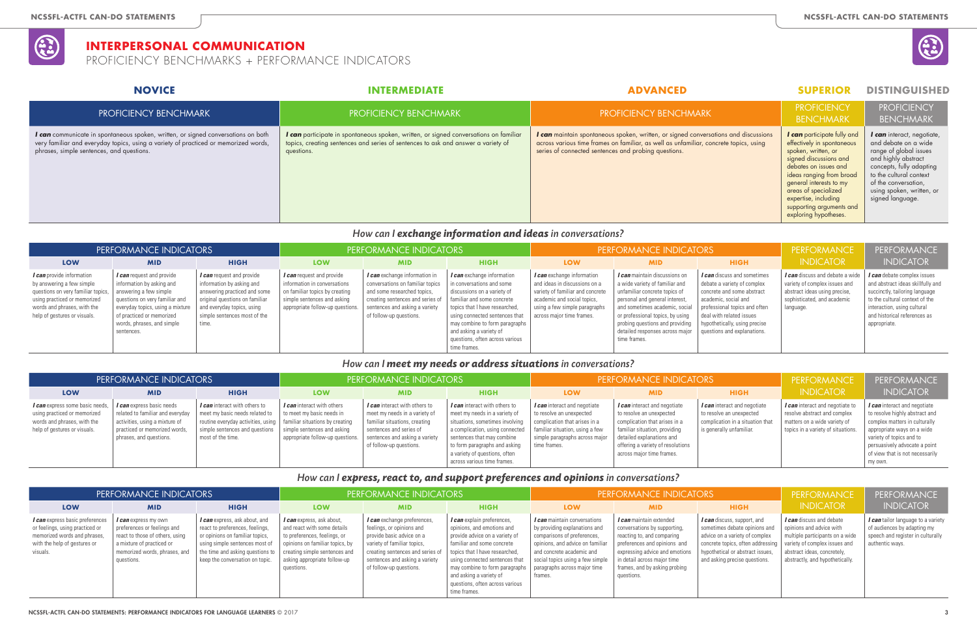|                                           | SUPERIUR                                                                                                                                                                                                                                                                                               |                                                                                                                                                                                                                                     |
|-------------------------------------------|--------------------------------------------------------------------------------------------------------------------------------------------------------------------------------------------------------------------------------------------------------------------------------------------------------|-------------------------------------------------------------------------------------------------------------------------------------------------------------------------------------------------------------------------------------|
|                                           | <b>PROFICIENCY</b><br><b>BENCHMARK</b>                                                                                                                                                                                                                                                                 | <b>PROFICIENCY</b><br><b>BENCHMARK</b>                                                                                                                                                                                              |
| ons and discussions<br>rete topics, using | <b>I can</b> participate fully and<br>effectively in spontaneous<br>spoken, written, or<br>signed discussions and<br>debates on issues and<br>ideas ranging from broad<br>general interests to my<br>areas of specialized<br>expertise, including<br>supporting arguments and<br>exploring hypotheses. | I can interact, negotiate,<br>and debate on a wide<br>range of global issues<br>and highly abstract<br>concepts, fully adapting<br>to the cultural context<br>of the conversation,<br>using spoken, written, or<br>signed language. |
|                                           |                                                                                                                                                                                                                                                                                                        |                                                                                                                                                                                                                                     |

|                        | . .                    |
|------------------------|------------------------|
| <b>Service Service</b> | <b>Service Service</b> |

# **INDICATOR**

### *How can I exchange information and ideas in conversations?*

| PERFORMANCE INDICATORS                                                                                                                                                                             |                                                                                                                                                                                                                                                |                                                                                                                                                                                                 | PERFORMANCE INDICATORS                                                                                                                                                |                                                                                                                                                                                                          |                                                                                                                                                                                                                                                                                                                   |                                                                                                                                                                                                     | <b>PERFORMANCE INDICATORS</b>                                                                                                                                                                                                                                                                                                           | PERFORMANCE                                                                                                                                                                                                  | PERFORMANCE                                                                                                                                   |                                                                                                                                                                                                                            |
|----------------------------------------------------------------------------------------------------------------------------------------------------------------------------------------------------|------------------------------------------------------------------------------------------------------------------------------------------------------------------------------------------------------------------------------------------------|-------------------------------------------------------------------------------------------------------------------------------------------------------------------------------------------------|-----------------------------------------------------------------------------------------------------------------------------------------------------------------------|----------------------------------------------------------------------------------------------------------------------------------------------------------------------------------------------------------|-------------------------------------------------------------------------------------------------------------------------------------------------------------------------------------------------------------------------------------------------------------------------------------------------------------------|-----------------------------------------------------------------------------------------------------------------------------------------------------------------------------------------------------|-----------------------------------------------------------------------------------------------------------------------------------------------------------------------------------------------------------------------------------------------------------------------------------------------------------------------------------------|--------------------------------------------------------------------------------------------------------------------------------------------------------------------------------------------------------------|-----------------------------------------------------------------------------------------------------------------------------------------------|----------------------------------------------------------------------------------------------------------------------------------------------------------------------------------------------------------------------------|
| <b>LOW</b>                                                                                                                                                                                         | <b>MID</b>                                                                                                                                                                                                                                     | <b>HIGH</b>                                                                                                                                                                                     | <b>LOW</b>                                                                                                                                                            | <b>MID</b>                                                                                                                                                                                               | <b>HIGH</b>                                                                                                                                                                                                                                                                                                       | <b>LOW</b>                                                                                                                                                                                          | <b>MID</b>                                                                                                                                                                                                                                                                                                                              | <b>HIGH</b>                                                                                                                                                                                                  | <b>INDICATOR</b>                                                                                                                              | <b>INDICATOR</b>                                                                                                                                                                                                           |
| <i>I can</i> provide information<br>by answering a few simple<br>questions on very familiar topics,<br>using practiced or memorized<br>words and phrases, with the<br>help of gestures or visuals. | <i>l</i> can request and provide<br>information by asking and<br>answering a few simple<br>questions on very familiar and<br>everyday topics, using a mixture $\vert$<br>of practiced or memorized<br>words, phrases, and simple<br>sentences. | I can request and provide<br>information by asking and<br>answering practiced and some<br>original questions on familiar<br>and everyday topics, using<br>simple sentences most of the<br>time. | <i>I can</i> request and provide<br>information in conversations<br>on familiar topics by creating<br>simple sentences and asking<br>appropriate follow-up questions. | <i>I can</i> exchange information in<br>conversations on familiar topics<br>and some researched topics,<br>creating sentences and series of<br>sentences and asking a variety<br>of follow-up questions. | <i>I can</i> exchange information<br>in conversations and some<br>discussions on a variety of<br>familiar and some concrete<br>  topics that I have researched,<br>using connected sentences that<br>may combine to form paragraphs<br>and asking a variety of<br>questions, often across various<br>time frames. | <i>I can</i> exchange information<br>and ideas in discussions on a<br>variety of familiar and concrete<br>academic and social topics,<br>using a few simple paragraphs<br>across major time frames. | <i>I can</i> maintain discussions on<br>a wide variety of familiar and<br>unfamiliar concrete topics of<br>personal and general interest,<br>and sometimes academic, social   professional topics and often<br>or professional topics, by using<br>probing questions and providing<br>detailed responses across major<br>l time frames. | I can discuss and sometimes<br>debate a variety of complex<br>concrete and some abstract<br>academic, social and<br>deal with related issues<br>hypothetically, using precise<br>questions and explanations. | I can discuss and debate a wide<br>variety of complex issues and<br>abstract ideas using precise,<br>sophisticated, and academic<br>language. | <i>I can</i> debate complex issues<br>and abstract ideas skillfully and<br>succinctly, tailoring language<br>to the cultural context of the<br>interaction, using cultural<br>and historical references as<br>appropriate. |

#### *How can I meet my needs or address situations in conversations?*

*I can* tailor language to a variety of audiences by adapting my speech and register in culturally authentic ways.

## PROFICIENCY BENCHMARK **PROFICIENCY BENCHMARK** PROFICIENCY BENCHMARK PROFICIENCY BENCHMARK *I can* communicate in spontaneous spoken, written, or signed conversations on both very familiar and everyday topics, using a variety of practiced or memorized words, phrases, simple sentences, and questions. *I can* participate in spontaneous spoken, written, or signed conversations on familiar topics, creating sentences and series of sentences to ask and answer a variety of questions. *I can* maintain spontaneous spoken, written, or signed conversations across various time frames on familiar, as well as unfamiliar, conc series of connected sentences and probing questions. **NOVICE INTERMEDIATE ADVANCED SUPERIOR DISTINGUISHED**

| PERFORMANCE INDICATORS                                                                                                         |                                                                                                                                                                    |                                                                                                                                                              | PERFORMANCE INDICATORS                                                                                                                                        |                                                                                                                                                                                                |                                                                                                                                                                                                                                                                                                              |                                                                                                                                                    | <b>PERFORMANCE INDICATORS</b>                                                                                                                                                                                             | PERFORMANCE                                                                                                              | <b>PERFORMANCE</b>                                                                                                                    |                                                                                                                                                                                                                                          |
|--------------------------------------------------------------------------------------------------------------------------------|--------------------------------------------------------------------------------------------------------------------------------------------------------------------|--------------------------------------------------------------------------------------------------------------------------------------------------------------|---------------------------------------------------------------------------------------------------------------------------------------------------------------|------------------------------------------------------------------------------------------------------------------------------------------------------------------------------------------------|--------------------------------------------------------------------------------------------------------------------------------------------------------------------------------------------------------------------------------------------------------------------------------------------------------------|----------------------------------------------------------------------------------------------------------------------------------------------------|---------------------------------------------------------------------------------------------------------------------------------------------------------------------------------------------------------------------------|--------------------------------------------------------------------------------------------------------------------------|---------------------------------------------------------------------------------------------------------------------------------------|------------------------------------------------------------------------------------------------------------------------------------------------------------------------------------------------------------------------------------------|
| <b>LOW</b>                                                                                                                     | <b>MID</b>                                                                                                                                                         | <b>HIGH</b>                                                                                                                                                  | <b>LOW</b>                                                                                                                                                    | <b>MID</b>                                                                                                                                                                                     | <b>HIGH</b>                                                                                                                                                                                                                                                                                                  | <b>LOW</b>                                                                                                                                         | <b>MID</b>                                                                                                                                                                                                                | <b>HIGH</b>                                                                                                              | <b>INDICATOR</b>                                                                                                                      | <b>INDICATOR</b>                                                                                                                                                                                                                         |
| I can express some basic needs,<br>using practiced or memorized<br>words and phrases, with the<br>help of gestures or visuals. | <i>I can</i> express basic needs<br>related to familiar and everyday<br>activities, using a mixture of<br>practiced or memorized words,<br>phrases, and questions. | I can interact with others to<br>meet my basic needs related to<br>routine everyday activities, using<br>simple sentences and questions<br>most of the time. | I can interact with others<br>to meet my basic needs in<br>familiar situations by creating<br>simple sentences and asking<br>appropriate follow-up questions. | <i>I can</i> interact with others to<br>meet my needs in a variety of<br>familiar situations, creating<br>sentences and series of<br>sentences and asking a variety<br>of follow-up questions. | <i>I can</i> interact with others to<br>meet my needs in a variety of<br>situations, sometimes involving<br>a complication, using connected   familiar situation, using a few<br>sentences that may combine<br>to form paragraphs and asking<br>a variety of questions, often<br>across various time frames. | <i>I can</i> interact and negotiate<br>to resolve an unexpected<br>complication that arises in a<br>simple paragraphs across major<br>time frames. | I can interact and negotiate<br>to resolve an unexpected<br>complication that arises in a<br>familiar situation, providing<br>detailed explanations and<br>offering a variety of resolutions<br>across major time frames. | I can interact and negotiate<br>to resolve an unexpected<br>complication in a situation that<br>is generally unfamiliar. | I can interact and negotiate to<br>resolve abstract and complex<br>matters on a wide variety of<br>topics in a variety of situations. | I can interact and negotiate<br>to resolve highly abstract and<br>complex matters in culturally<br>appropriate ways on a wide<br>variety of topics and to<br>persuasively advocate a point<br>of view that is not necessarily<br>my own. |

### *How can I express, react to, and support preferences and opinions in conversations?*

# PERFORMANCE

| <b>PERFORMANCE INDICATORS</b>                                                                                                                  |                                                                                                                                                                                  |                                                                                                                                                                                                                                                               | PERFORMANCE INDICATORS                                                                                                                                                           |                                                                                                                                                                                                                              |                                                                                                                                                                                                                                                                                                                                                      |                                                                                                                                                                                                              | <b>PERFORMANCE INDICATORS</b>                                                                                                                                                                                                         |                                                                                                                                                                                                                                                 | PERFORMANCE                                                                                                                                                      | PERFORMAN                                                                                                         |
|------------------------------------------------------------------------------------------------------------------------------------------------|----------------------------------------------------------------------------------------------------------------------------------------------------------------------------------|---------------------------------------------------------------------------------------------------------------------------------------------------------------------------------------------------------------------------------------------------------------|----------------------------------------------------------------------------------------------------------------------------------------------------------------------------------|------------------------------------------------------------------------------------------------------------------------------------------------------------------------------------------------------------------------------|------------------------------------------------------------------------------------------------------------------------------------------------------------------------------------------------------------------------------------------------------------------------------------------------------------------------------------------------------|--------------------------------------------------------------------------------------------------------------------------------------------------------------------------------------------------------------|---------------------------------------------------------------------------------------------------------------------------------------------------------------------------------------------------------------------------------------|-------------------------------------------------------------------------------------------------------------------------------------------------------------------------------------------------------------------------------------------------|------------------------------------------------------------------------------------------------------------------------------------------------------------------|-------------------------------------------------------------------------------------------------------------------|
| <b>LOW</b>                                                                                                                                     | <b>MID</b>                                                                                                                                                                       | <b>HIGH</b>                                                                                                                                                                                                                                                   | <b>LOW</b>                                                                                                                                                                       | <b>MID</b>                                                                                                                                                                                                                   | <b>HIGH</b>                                                                                                                                                                                                                                                                                                                                          | LOW                                                                                                                                                                                                          | <b>MID</b>                                                                                                                                                                                                                            | <b>HIGH</b>                                                                                                                                                                                                                                     | <b>INDICATOR</b>                                                                                                                                                 | <b>INDICATOR</b>                                                                                                  |
| I can express basic preferences<br>or feelings, using practiced or<br>memorized words and phrases,<br>with the help of gestures or<br>visuals. | <b><i>I can</i></b> express my own<br>preferences or feelings and<br>react to those of others, using<br>a mixture of practiced or<br>memorized words, phrases, and<br>questions. | <i>l can</i> express, ask about, and<br>react to preferences, feelings,<br>or opinions on familiar topics,<br>using simple sentences most of<br>the time and asking questions to $\parallel$ creating simple sentences and<br>keep the conversation on topic. | <i>l can</i> express, ask about,<br>and react with some details<br>to preferences, feelings, or<br>opinions on familiar topics, by<br>asking appropriate follow-up<br>questions. | <i>l</i> can exchange preferences,<br>feelings, or opinions and<br>provide basic advice on a<br>variety of familiar topics,<br>creating sentences and series of<br>sentences and asking a variety<br>of follow-up questions. | <i>l</i> can explain preferences,<br>opinions, and emotions and<br>provide advice on a variety of<br>familiar and some concrete<br>topics that I have researched,<br>using connected sentences that<br>  may combine to form paragraphs   paragraphs across major time<br>and asking a variety of<br>questions, often across various<br>time frames. | I can maintain conversations<br>by providing explanations and<br>comparisons of preferences,<br>opinions, and advice on familiar<br>and concrete academic and<br>social topics using a few simple<br>frames. | I can maintain extended<br>conversations by supporting,<br>reacting to, and comparing<br>preferences and opinions and<br>expressing advice and emotions<br>in detail across major time<br>frames, and by asking probing<br>questions. | <i>I can</i> discuss, support, and<br>sometimes debate opinions and<br>advice on a variety of complex<br>concrete topics, often addressing   variety of complex issues and<br>hypothetical or abstract issues.<br>and asking precise questions. | <i>I can</i> discuss and debate<br>opinions and advice with<br>multiple participants on a wide<br>abstract ideas, concretely,<br>abstractly, and hypothetically. | <i>I can</i> tailor language to a<br>of audiences by adapting a<br>speech and register in cult<br>authentic ways. |



## **INTERPERSONAL COMMUNICATION**

PROFICIENCY BENCHMARKS + PERFORMANCE INDICATORS

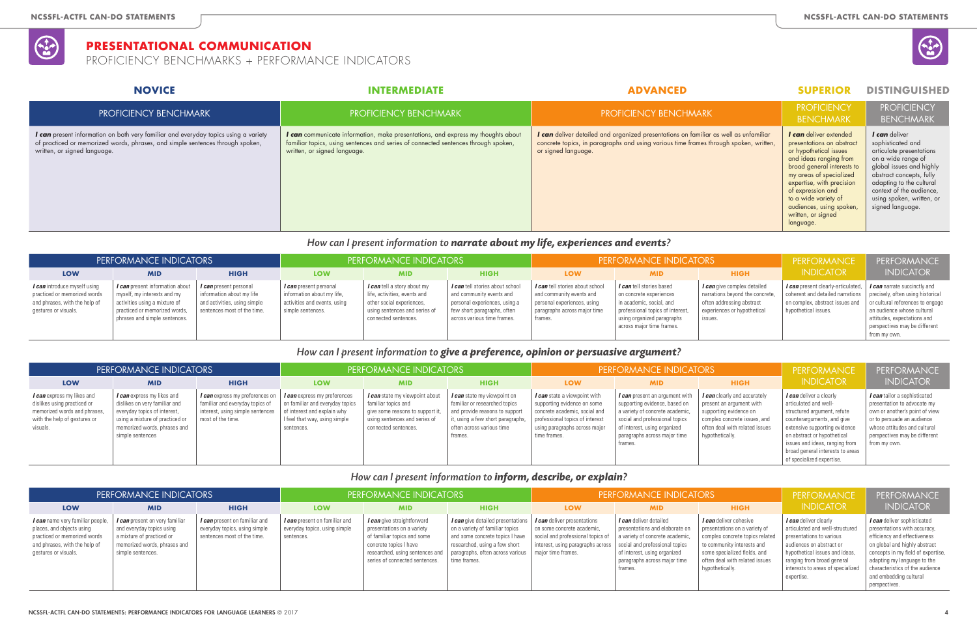|                                               | SUPERIOR                                                                                                                                                                                                                                                                                                         | DISTINGUISHED                                                                                                                                                                                                                                         |
|-----------------------------------------------|------------------------------------------------------------------------------------------------------------------------------------------------------------------------------------------------------------------------------------------------------------------------------------------------------------------|-------------------------------------------------------------------------------------------------------------------------------------------------------------------------------------------------------------------------------------------------------|
|                                               | <b>PROFICIENCY</b><br><b>BENCHMARK</b>                                                                                                                                                                                                                                                                           | <b>PROFICIENCY</b><br><b>BENCHMARK</b>                                                                                                                                                                                                                |
| s well as unfamiliar<br>ough spoken, written, | <i>I</i> can deliver extended<br>presentations on abstract<br>or hypothetical issues<br>and ideas ranging from<br>broad general interests to<br>my areas of specialized<br>expertise, with precision<br>of expression and<br>to a wide variety of<br>audiences, using spoken,<br>written, or signed<br>language. | I can deliver<br>sophisticated and<br>articulate presentations<br>on a wide range of<br>global issues and highly<br>abstract concepts, fully<br>adapting to the cultural<br>context of the audience,<br>using spoken, written, or<br>signed language. |
|                                               |                                                                                                                                                                                                                                                                                                                  |                                                                                                                                                                                                                                                       |

# *How can I present information to narrate about my life, experiences and events?*

| PERFORMANCE INDICATORS                                                                                                       |                                                                                                                                                                                                   |                                                                                          | <b>PERFORMANCE INDICATORS</b>                                                                                    |                                                                                                                                                   |                                                                                                                                                            |                                                                                                                                              | <b>PERFORMANCE INDICATORS</b>                                                                                                                                                    | PERFORMANCE                                                                                                                           | PERFORMANCE                                                                                                                                                                                                                                      |                                                                                                            |
|------------------------------------------------------------------------------------------------------------------------------|---------------------------------------------------------------------------------------------------------------------------------------------------------------------------------------------------|------------------------------------------------------------------------------------------|------------------------------------------------------------------------------------------------------------------|---------------------------------------------------------------------------------------------------------------------------------------------------|------------------------------------------------------------------------------------------------------------------------------------------------------------|----------------------------------------------------------------------------------------------------------------------------------------------|----------------------------------------------------------------------------------------------------------------------------------------------------------------------------------|---------------------------------------------------------------------------------------------------------------------------------------|--------------------------------------------------------------------------------------------------------------------------------------------------------------------------------------------------------------------------------------------------|------------------------------------------------------------------------------------------------------------|
| LOW                                                                                                                          | <b>MID</b>                                                                                                                                                                                        | <b>HIGH</b>                                                                              | <b>LOW</b>                                                                                                       | <b>MID</b>                                                                                                                                        | <b>HIGH</b>                                                                                                                                                | <b>LOW</b>                                                                                                                                   | <b>MID</b>                                                                                                                                                                       | <b>HIGH</b>                                                                                                                           | <b>INDICATOR</b>                                                                                                                                                                                                                                 | <b>INDICATOR</b>                                                                                           |
| <i>I can</i> introduce myself using<br>practiced or memorized words<br>and phrases, with the help of<br>gestures or visuals. | <b>I can</b> present information about   I can present personal<br>myself, my interests and my<br>activities using a mixture of<br>practiced or memorized words,<br>phrases and simple sentences. | information about my life<br>and activities, using simple<br>sentences most of the time. | <i>I can</i> present personal<br>information about my life,<br>activities and events, using<br>simple sentences. | I can tell a story about my<br>life, activities, events and<br>other social experiences,<br>using sentences and series of<br>connected sentences. | I can tell stories about school<br>and community events and<br>personal experiences, using a<br>few short paragraphs, often<br>across various time frames. | <i>I can</i> tell stories about school<br>and community events and<br>personal experiences, using<br>paragraphs across major time<br>frames. | I can tell stories based<br>on concrete experiences<br>  in academic, social, and<br>professional topics of interest,<br>using organized paragraphs<br>across major time frames. | I can give complex detailed<br>narrations beyond the concrete,<br>often addressing abstract<br>experiences or hypothetical<br>issues. | <b>I can</b> present clearly-articulated,   I can narrate succinctly and<br>  coherent and detailed narrations   precisely, often using historical<br>on complex, abstract issues and   or cultural references to engage<br>hypothetical issues. | an audience whose cultural<br>attitudes, expectations and<br>perspectives may be different<br>from my own. |

### *How can I present information to give a preference, opinion or persuasive argument?*

# PROFICIENCY BENCHMARK **PROFICIENCY BENCHMARK** PROFICIENCY BENCHMARK PROFICIENCY BENCHMARK *I can* present information on both very familiar and everyday topics using a variety of practiced or memorized words, phrases, and simple sentences through spoken, written, or signed language. *I can* communicate information, make presentations, and express my thoughts about familiar topics, using sentences and series of connected sentences through spoken, written, or signed language. *I can* deliver detailed and organized presentations on familiar as concrete topics, in paragraphs and using various time frames throw or signed language. **NOVICE INTERMEDIATE ADVANCED SUPERIOR DISTINGUISHED**

| PERFORMANCE INDICATORS                                                                                                                       |                                                                                                                                                                                           |                                                                                                                             |                                                                                                                                                             | PERFORMANCE INDICATORS                                                                                                                             |                                                                                                                                                                             |                                                                                                                                                                                  | <b>PERFORMANCE INDICATORS</b>                                                                                                                                                                                   | PERFORMANCE                                                                                                                                                                    | PERFORMANCE                                                                                                                                                                                                                                                                      |                                                                                                                                                                                                              |
|----------------------------------------------------------------------------------------------------------------------------------------------|-------------------------------------------------------------------------------------------------------------------------------------------------------------------------------------------|-----------------------------------------------------------------------------------------------------------------------------|-------------------------------------------------------------------------------------------------------------------------------------------------------------|----------------------------------------------------------------------------------------------------------------------------------------------------|-----------------------------------------------------------------------------------------------------------------------------------------------------------------------------|----------------------------------------------------------------------------------------------------------------------------------------------------------------------------------|-----------------------------------------------------------------------------------------------------------------------------------------------------------------------------------------------------------------|--------------------------------------------------------------------------------------------------------------------------------------------------------------------------------|----------------------------------------------------------------------------------------------------------------------------------------------------------------------------------------------------------------------------------------------------------------------------------|--------------------------------------------------------------------------------------------------------------------------------------------------------------------------------------------------------------|
| LOW                                                                                                                                          | <b>MID</b>                                                                                                                                                                                | <b>HIGH</b>                                                                                                                 | <b>LOW</b>                                                                                                                                                  | <b>MID</b>                                                                                                                                         | <b>HIGH</b>                                                                                                                                                                 | <b>LOW</b>                                                                                                                                                                       | <b>MID</b>                                                                                                                                                                                                      | <b>HIGH</b>                                                                                                                                                                    | <b>INDICATOR</b>                                                                                                                                                                                                                                                                 | <b>INDICATOR</b>                                                                                                                                                                                             |
| <b>I can</b> express my likes and<br>dislikes using practiced or<br>memorized words and phrases,<br>with the help of gestures or<br>visuals. | <b>I can</b> express my likes and<br>dislikes on very familiar and<br>everyday topics of interest,<br>using a mixture of practiced or<br>memorized words, phrases and<br>simple sentences | I can express my preferences on<br>familiar and everyday topics of<br>interest, using simple sentences<br>most of the time. | <b><i>I can</i></b> express my preferences<br>on familiar and everyday topics<br>of interest and explain why<br>I feel that way, using simple<br>sentences. | I can state my viewpoint about<br>familiar topics and<br>give some reasons to support it,<br>using sentences and series of<br>connected sentences. | I can state my viewpoint on<br>familiar or researched topics<br>and provide reasons to support<br>it, using a few short paragraphs,<br>often across various time<br>frames. | I can state a viewpoint with<br>supporting evidence on some<br>concrete academic, social and<br>professional topics of interest<br>using paragraphs across major<br>time frames. | I can present an argument with<br>supporting evidence, based on<br>a variety of concrete academic,<br>social and professional topics<br>of interest, using organized<br>paragraphs across major time<br>frames. | <i>I can</i> clearly and accurately<br>present an argument with<br>supporting evidence on<br>complex concrete issues, and<br>often deal with related issues<br>hypothetically. | I can deliver a clearly<br>articulated and well-<br>structured argument, refute<br>counterarguments, and give<br>extensive supporting evidence<br>on abstract or hypothetical<br>issues and ideas, ranging from<br>broad general interests to areas<br>of specialized expertise. | I can tailor a sophisticated<br>presentation to advocate my<br>own or another's point of view<br>or to persuade an audience<br>whose attitudes and cultural<br>perspectives may be different<br>from my own. |

#### *How can I present information to inform, describe, or explain?*

| PERFORMANCE INDICATORS                                                                                                                                        |                                                                                                                                                      |                                                                                               |                                                                              | PERFORMANCE INDICATORS                                                                                                                                                                            |                                                                                                                                                                                                                     |                                                                                                                                                                                                           | <b>PERFORMANCE INDICATORS</b>                                                                                                              | PERFORMANCE                                                                                                                                                                                                   | PERFORMANCE                                                                                                                                                                                                                                |                                                                                                                                                                                                                                                                                 |
|---------------------------------------------------------------------------------------------------------------------------------------------------------------|------------------------------------------------------------------------------------------------------------------------------------------------------|-----------------------------------------------------------------------------------------------|------------------------------------------------------------------------------|---------------------------------------------------------------------------------------------------------------------------------------------------------------------------------------------------|---------------------------------------------------------------------------------------------------------------------------------------------------------------------------------------------------------------------|-----------------------------------------------------------------------------------------------------------------------------------------------------------------------------------------------------------|--------------------------------------------------------------------------------------------------------------------------------------------|---------------------------------------------------------------------------------------------------------------------------------------------------------------------------------------------------------------|--------------------------------------------------------------------------------------------------------------------------------------------------------------------------------------------------------------------------------------------|---------------------------------------------------------------------------------------------------------------------------------------------------------------------------------------------------------------------------------------------------------------------------------|
| LOW                                                                                                                                                           | <b>MID</b>                                                                                                                                           | <b>HIGH</b>                                                                                   | <b>LOW</b>                                                                   | <b>MID</b>                                                                                                                                                                                        | <b>HIGH</b>                                                                                                                                                                                                         | <b>LOW</b>                                                                                                                                                                                                | <b>MID</b>                                                                                                                                 | <b>HIGH</b>                                                                                                                                                                                                   | <b>INDICATOR</b>                                                                                                                                                                                                                           | <b>INDICATOR</b>                                                                                                                                                                                                                                                                |
| <i>l</i> can name very familiar people,<br>places, and objects using<br>practiced or memorized words<br>and phrases, with the help of<br>gestures or visuals. | <i>I can</i> present on very familiar<br>and everyday topics using<br>a mixture of practiced or<br>memorized words, phrases and<br>simple sentences. | I can present on familiar and<br>everyday topics, using simple<br>sentences most of the time. | I can present on familiar and<br>everyday topics, using simple<br>sentences. | <i>l</i> can give straightforward<br>presentations on a variety<br>of familiar topics and some<br>concrete topics I have<br>  researched, using sentences and  <br>series of connected sentences. | <b>I can</b> give detailed presentations   I can deliver presentations<br>on a variety of familiar topics<br>researched, using a few short<br>paragraphs, often across various   major time frames.<br>time frames. | on some concrete academic,<br>and some concrete topics I have   social and professional topics of   a variety of concrete academic,<br>interest, using paragraphs across   social and professional topics | <i>I can</i> deliver detailed<br>presentations and elaborate on<br>of interest, using organized<br>paragraphs across major time<br>frames. | I can deliver cohesive<br>presentations on a variety of<br>complex concrete topics related<br>to community interests and<br>some specialized fields, and<br>often deal with related issues<br>hypothetically. | <i>I can</i> deliver clearly<br>articulated and well-structured<br>presentations to various<br>audiences on abstract or<br>hypothetical issues and ideas,<br>ranging from broad general<br>interests to areas of specialized<br>expertise. | I can deliver sophisticated<br>presentations with accuracy,<br>efficiency and effectiveness<br>on global and highly abstract<br>concepts in my field of expertise,<br>adapting my language to the<br>characteristics of the audience<br>and embedding cultural<br>perspectives. |



# **PRESENTATIONAL COMMUNICATION**

PROFICIENCY BENCHMARKS + PERFORMANCE INDICATORS